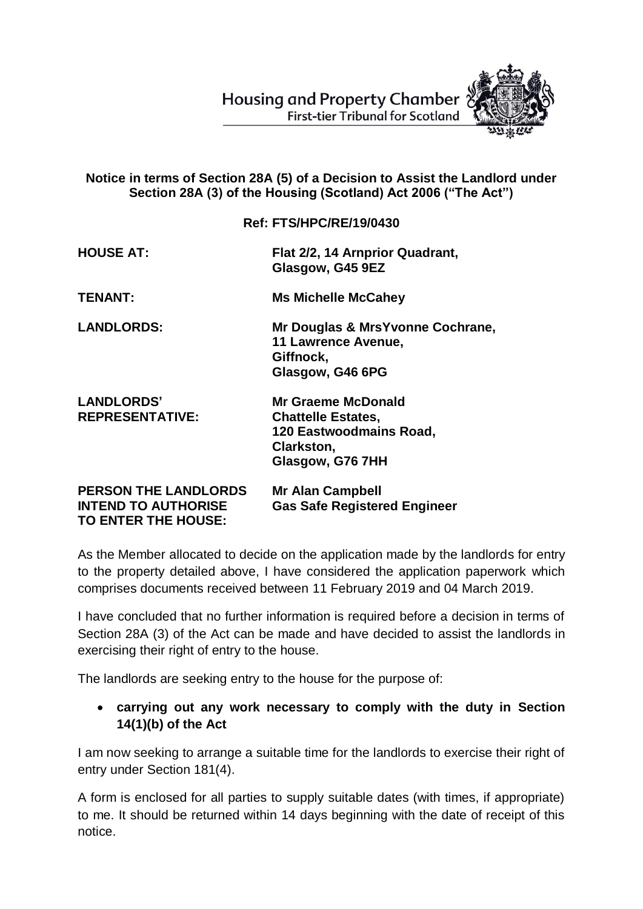**Housing and Property Chamber First-tier Tribunal for Scotland** 



## **Notice in terms of Section 28A (5) of a Decision to Assist the Landlord under Section 28A (3) of the Housing (Scotland) Act 2006 ("The Act")**

## **Ref: FTS/HPC/RE/19/0430**

| <b>HOUSE AT:</b>                                                                 | Flat 2/2, 14 Arnprior Quadrant,<br>Glasgow, G45 9EZ                                                                 |
|----------------------------------------------------------------------------------|---------------------------------------------------------------------------------------------------------------------|
| <b>TENANT:</b>                                                                   | <b>Ms Michelle McCahey</b>                                                                                          |
| <b>LANDLORDS:</b>                                                                | Mr Douglas & MrsYvonne Cochrane,<br>11 Lawrence Avenue,<br>Giffnock,<br>Glasgow, G46 6PG                            |
| <b>LANDLORDS'</b><br><b>REPRESENTATIVE:</b>                                      | <b>Mr Graeme McDonald</b><br><b>Chattelle Estates,</b><br>120 Eastwoodmains Road,<br>Clarkston,<br>Glasgow, G76 7HH |
| <b>PERSON THE LANDLORDS</b><br><b>INTEND TO AUTHORISE</b><br>TO ENTER THE HOUSE: | <b>Mr Alan Campbell</b><br><b>Gas Safe Registered Engineer</b>                                                      |

As the Member allocated to decide on the application made by the landlords for entry to the property detailed above, I have considered the application paperwork which comprises documents received between 11 February 2019 and 04 March 2019.

I have concluded that no further information is required before a decision in terms of Section 28A (3) of the Act can be made and have decided to assist the landlords in exercising their right of entry to the house.

The landlords are seeking entry to the house for the purpose of:

 **carrying out any work necessary to comply with the duty in Section 14(1)(b) of the Act**

I am now seeking to arrange a suitable time for the landlords to exercise their right of entry under Section 181(4).

A form is enclosed for all parties to supply suitable dates (with times, if appropriate) to me. It should be returned within 14 days beginning with the date of receipt of this notice.